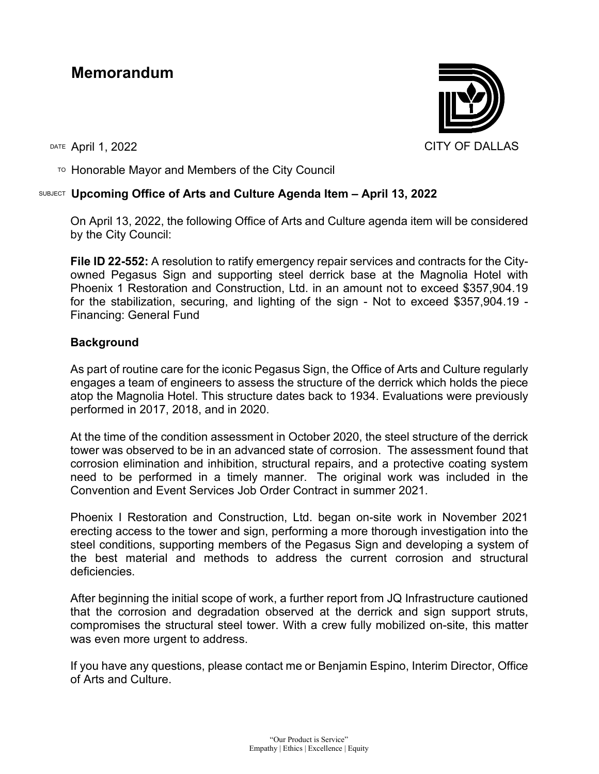## **Memorandum**

DATE April 1, 2022 CITY OF DALLAS

 $T$ <sup>O</sup> Honorable Mayor and Members of the City Council

## SUBJECT **Upcoming Office of Arts and Culture Agenda Item – April 13, 2022**

On April 13, 2022, the following Office of Arts and Culture agenda item will be considered by the City Council:

**File ID 22-552:** A resolution to ratify emergency repair services and contracts for the Cityowned Pegasus Sign and supporting steel derrick base at the Magnolia Hotel with Phoenix 1 Restoration and Construction, Ltd. in an amount not to exceed \$357,904.19 for the stabilization, securing, and lighting of the sign - Not to exceed \$357,904.19 - Financing: General Fund

## **Background**

As part of routine care for the iconic Pegasus Sign, the Office of Arts and Culture regularly engages a team of engineers to assess the structure of the derrick which holds the piece atop the Magnolia Hotel. This structure dates back to 1934. Evaluations were previously performed in 2017, 2018, and in 2020.

At the time of the condition assessment in October 2020, the steel structure of the derrick tower was observed to be in an advanced state of corrosion. The assessment found that corrosion elimination and inhibition, structural repairs, and a protective coating system need to be performed in a timely manner. The original work was included in the Convention and Event Services Job Order Contract in summer 2021.

Phoenix I Restoration and Construction, Ltd. began on-site work in November 2021 erecting access to the tower and sign, performing a more thorough investigation into the steel conditions, supporting members of the Pegasus Sign and developing a system of the best material and methods to address the current corrosion and structural deficiencies.

After beginning the initial scope of work, a further report from JQ Infrastructure cautioned that the corrosion and degradation observed at the derrick and sign support struts, compromises the structural steel tower. With a crew fully mobilized on-site, this matter was even more urgent to address.

If you have any questions, please contact me or Benjamin Espino, Interim Director, Office of Arts and Culture.